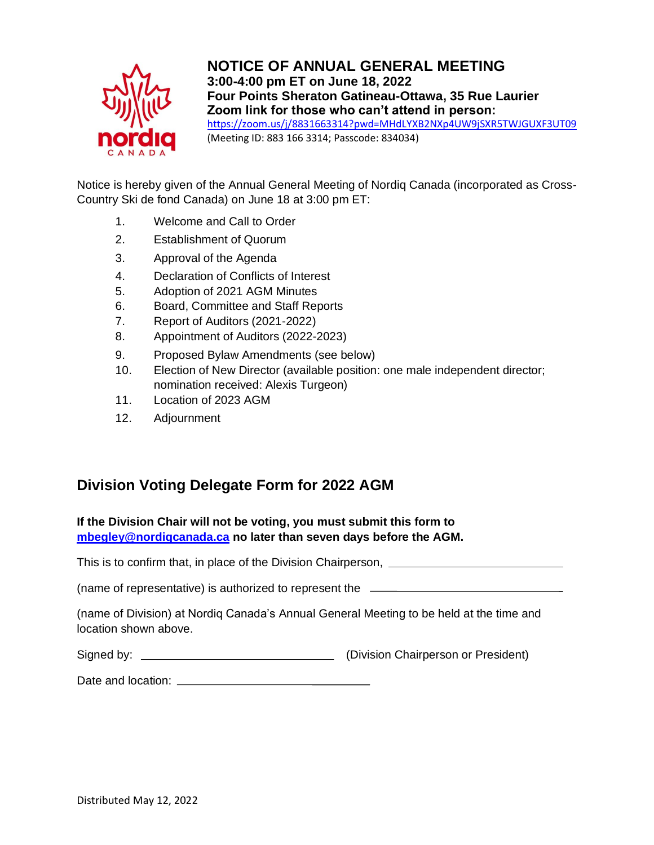

**NOTICE OF ANNUAL GENERAL MEETING 3:00-4:00 pm ET on June 18, 2022 Four Points Sheraton Gatineau-Ottawa, 35 Rue Laurier Zoom link for those who can't attend in person:**  <https://zoom.us/j/8831663314?pwd=MHdLYXB2NXp4UW9jSXR5TWJGUXF3UT09> (Meeting ID: 883 166 3314; Passcode: 834034)

Notice is hereby given of the Annual General Meeting of Nordiq Canada (incorporated as Cross-Country Ski de fond Canada) on June 18 at 3:00 pm ET:

- 1. Welcome and Call to Order
- 2. Establishment of Quorum
- 3. Approval of the Agenda
- 4. Declaration of Conflicts of Interest
- 5. Adoption of 2021 AGM Minutes
- 6. Board, Committee and Staff Reports
- 7. Report of Auditors (2021-2022)
- 8. Appointment of Auditors (2022-2023)
- 9. Proposed Bylaw Amendments (see below)
- 10. Election of New Director (available position: one male independent director; nomination received: Alexis Turgeon)
- 11. Location of 2023 AGM
- 12. Adjournment

## **Division Voting Delegate Form for 2022 AGM**

**If the Division Chair will not be voting, you must submit this form to [mbegley@nordiqcanada.ca](mailto:mbegley@nordiqcanada.ca) no later than seven days before the AGM.** 

This is to confirm that, in place of the Division Chairperson,

(name of representative) is authorized to represent the

(name of Division) at Nordiq Canada's Annual General Meeting to be held at the time and location shown above.

| Signed by: | (Division Chairperson or President) |
|------------|-------------------------------------|
|------------|-------------------------------------|

Date and location: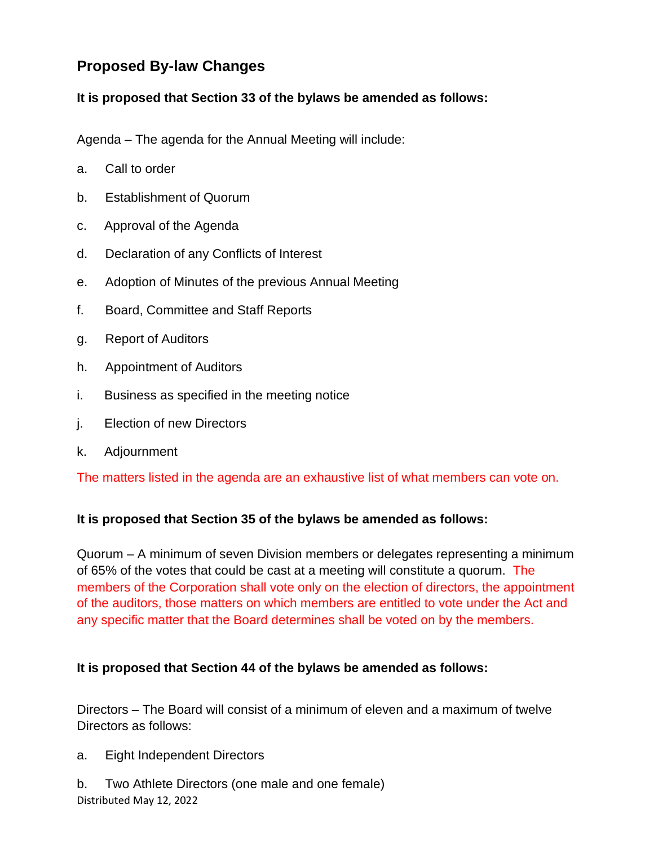# **Proposed By-law Changes**

## **It is proposed that Section 33 of the bylaws be amended as follows:**

Agenda – The agenda for the Annual Meeting will include:

- a. Call to order
- b. Establishment of Quorum
- c. Approval of the Agenda
- d. Declaration of any Conflicts of Interest
- e. Adoption of Minutes of the previous Annual Meeting
- f. Board, Committee and Staff Reports
- g. Report of Auditors
- h. Appointment of Auditors
- i. Business as specified in the meeting notice
- j. Election of new Directors
- k. Adjournment

The matters listed in the agenda are an exhaustive list of what members can vote on.

## **It is proposed that Section 35 of the bylaws be amended as follows:**

Quorum – A minimum of seven Division members or delegates representing a minimum of 65% of the votes that could be cast at a meeting will constitute a quorum. The members of the Corporation shall vote only on the election of directors, the appointment of the auditors, those matters on which members are entitled to vote under the Act and any specific matter that the Board determines shall be voted on by the members.

#### **It is proposed that Section 44 of the bylaws be amended as follows:**

Directors – The Board will consist of a minimum of eleven and a maximum of twelve Directors as follows:

a. Eight Independent Directors

Distributed May 12, 2022 b. Two Athlete Directors (one male and one female)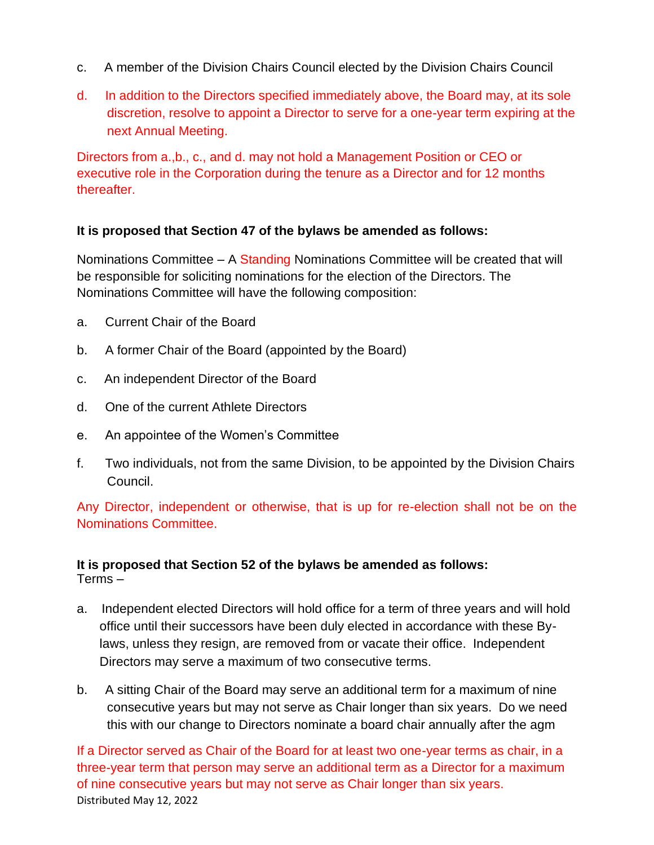- c. A member of the Division Chairs Council elected by the Division Chairs Council
- d. In addition to the Directors specified immediately above, the Board may, at its sole discretion, resolve to appoint a Director to serve for a one-year term expiring at the next Annual Meeting.

Directors from a.,b., c., and d. may not hold a Management Position or CEO or executive role in the Corporation during the tenure as a Director and for 12 months thereafter.

#### **It is proposed that Section 47 of the bylaws be amended as follows:**

Nominations Committee  $- A$  Standing Nominations Committee will be created that will be responsible for soliciting nominations for the election of the Directors. The Nominations Committee will have the following composition:

- a. Current Chair of the Board
- b. A former Chair of the Board (appointed by the Board)
- c. An independent Director of the Board
- d. One of the current Athlete Directors
- e. An appointee of the Women's Committee
- f. Two individuals, not from the same Division, to be appointed by the Division Chairs Council.

Any Director, independent or otherwise, that is up for re-election shall not be on the Nominations Committee.

#### **It is proposed that Section 52 of the bylaws be amended as follows:** Terms –

- a. Independent elected Directors will hold office for a term of three years and will hold office until their successors have been duly elected in accordance with these Bylaws, unless they resign, are removed from or vacate their office. Independent Directors may serve a maximum of two consecutive terms.
- b. A sitting Chair of the Board may serve an additional term for a maximum of nine consecutive years but may not serve as Chair longer than six years. Do we need this with our change to Directors nominate a board chair annually after the agm

Distributed May 12, 2022 If a Director served as Chair of the Board for at least two one-year terms as chair, in a three-year term that person may serve an additional term as a Director for a maximum of nine consecutive years but may not serve as Chair longer than six years.